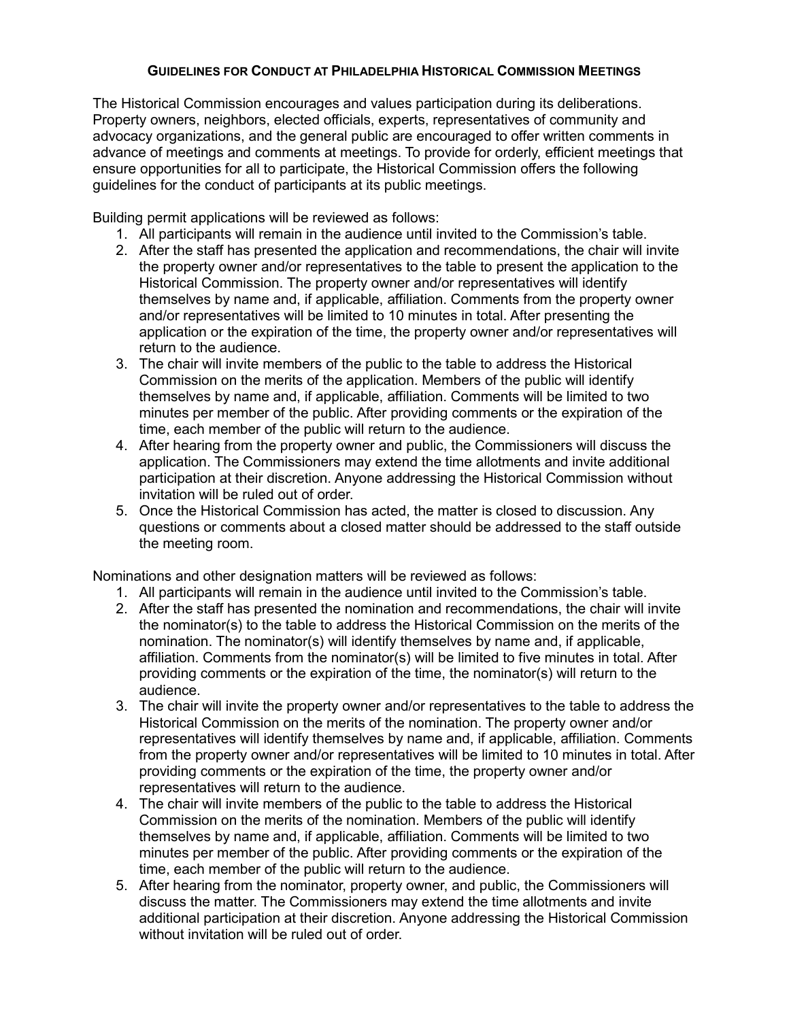## **GUIDELINES FOR CONDUCT AT PHILADELPHIA HISTORICAL COMMISSION MEETINGS**

The Historical Commission encourages and values participation during its deliberations. Property owners, neighbors, elected officials, experts, representatives of community and advocacy organizations, and the general public are encouraged to offer written comments in advance of meetings and comments at meetings. To provide for orderly, efficient meetings that ensure opportunities for all to participate, the Historical Commission offers the following guidelines for the conduct of participants at its public meetings.

Building permit applications will be reviewed as follows:

- 1. All participants will remain in the audience until invited to the Commission's table.
- 2. After the staff has presented the application and recommendations, the chair will invite the property owner and/or representatives to the table to present the application to the Historical Commission. The property owner and/or representatives will identify themselves by name and, if applicable, affiliation. Comments from the property owner and/or representatives will be limited to 10 minutes in total. After presenting the application or the expiration of the time, the property owner and/or representatives will return to the audience.
- 3. The chair will invite members of the public to the table to address the Historical Commission on the merits of the application. Members of the public will identify themselves by name and, if applicable, affiliation. Comments will be limited to two minutes per member of the public. After providing comments or the expiration of the time, each member of the public will return to the audience.
- 4. After hearing from the property owner and public, the Commissioners will discuss the application. The Commissioners may extend the time allotments and invite additional participation at their discretion. Anyone addressing the Historical Commission without invitation will be ruled out of order.
- 5. Once the Historical Commission has acted, the matter is closed to discussion. Any questions or comments about a closed matter should be addressed to the staff outside the meeting room.

Nominations and other designation matters will be reviewed as follows:

- 1. All participants will remain in the audience until invited to the Commission's table.
- 2. After the staff has presented the nomination and recommendations, the chair will invite the nominator(s) to the table to address the Historical Commission on the merits of the nomination. The nominator(s) will identify themselves by name and, if applicable, affiliation. Comments from the nominator(s) will be limited to five minutes in total. After providing comments or the expiration of the time, the nominator(s) will return to the audience.
- 3. The chair will invite the property owner and/or representatives to the table to address the Historical Commission on the merits of the nomination. The property owner and/or representatives will identify themselves by name and, if applicable, affiliation. Comments from the property owner and/or representatives will be limited to 10 minutes in total. After providing comments or the expiration of the time, the property owner and/or representatives will return to the audience.
- 4. The chair will invite members of the public to the table to address the Historical Commission on the merits of the nomination. Members of the public will identify themselves by name and, if applicable, affiliation. Comments will be limited to two minutes per member of the public. After providing comments or the expiration of the time, each member of the public will return to the audience.
- 5. After hearing from the nominator, property owner, and public, the Commissioners will discuss the matter. The Commissioners may extend the time allotments and invite additional participation at their discretion. Anyone addressing the Historical Commission without invitation will be ruled out of order.